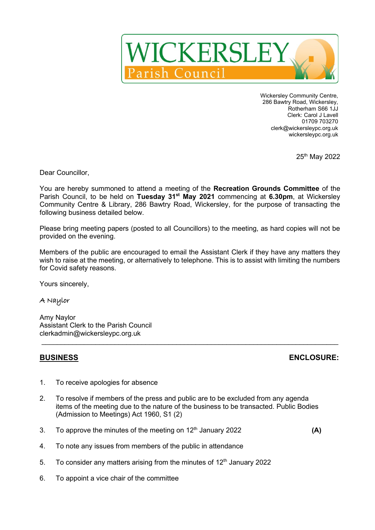

Wickersley Community Centre, 286 Bawtry Road, Wickersley, Rotherham S66 1JJ Clerk: Carol J Lavell 01709 703270 clerk@wickersleypc.org.uk wickersleypc.org.uk

25th May 2022

Dear Councillor,

You are hereby summoned to attend a meeting of the **Recreation Grounds Committee** of the Parish Council, to be held on **Tuesday 31st May 2021** commencing at **6.30pm**, at Wickersley Community Centre & Library, 286 Bawtry Road, Wickersley, for the purpose of transacting the following business detailed below.

Please bring meeting papers (posted to all Councillors) to the meeting, as hard copies will not be provided on the evening.

Members of the public are encouraged to email the Assistant Clerk if they have any matters they wish to raise at the meeting, or alternatively to telephone. This is to assist with limiting the numbers for Covid safety reasons.

 $\mathcal{L}_\mathcal{L} = \{ \mathcal{L}_\mathcal{L} = \{ \mathcal{L}_\mathcal{L} = \{ \mathcal{L}_\mathcal{L} = \{ \mathcal{L}_\mathcal{L} = \{ \mathcal{L}_\mathcal{L} = \{ \mathcal{L}_\mathcal{L} = \{ \mathcal{L}_\mathcal{L} = \{ \mathcal{L}_\mathcal{L} = \{ \mathcal{L}_\mathcal{L} = \{ \mathcal{L}_\mathcal{L} = \{ \mathcal{L}_\mathcal{L} = \{ \mathcal{L}_\mathcal{L} = \{ \mathcal{L}_\mathcal{L} = \{ \mathcal{L}_\mathcal{$ 

Yours sincerely,

## A Naylor

Amy Naylor Assistant Clerk to the Parish Council clerkadmin@wickersleypc.org.uk

## **BUSINESS ENCLOSURE:**

- 1. To receive apologies for absence
- 2. To resolve if members of the press and public are to be excluded from any agenda items of the meeting due to the nature of the business to be transacted. Public Bodies (Admission to Meetings) Act 1960, S1 (2)
- 3. To approve the minutes of the meeting on  $12<sup>th</sup>$  January 2022 **(A)**

- 4. To note any issues from members of the public in attendance
- 5. To consider any matters arising from the minutes of  $12<sup>th</sup>$  January 2022
- 6. To appoint a vice chair of the committee